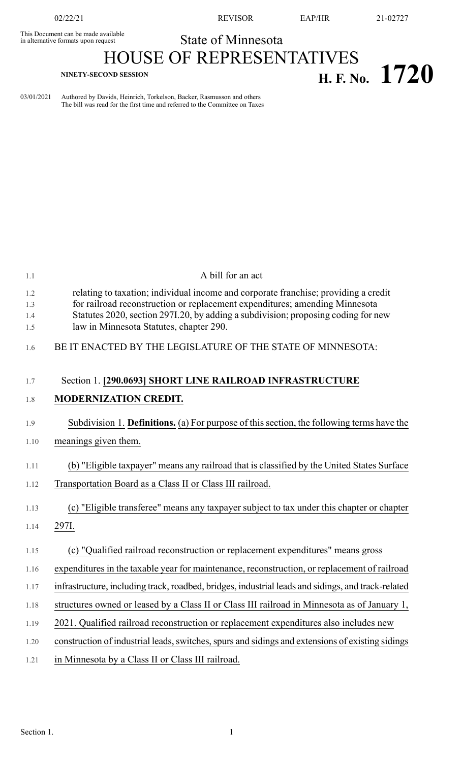This Document can be made available<br>in alternative formats upon request

02/22/21 REVISOR EAP/HR 21-02727

## State of Minnesota HOUSE OF REPRESENTATIVES

**H. F. No. 1720 H. F. No. 1720** 

03/01/2021 Authored by Davids, Heinrich, Torkelson, Backer, Rasmusson and others The bill was read for the first time and referred to the Committee on Taxes

| 1.1                      | A bill for an act                                                                                                                                                                                                                                                                                  |
|--------------------------|----------------------------------------------------------------------------------------------------------------------------------------------------------------------------------------------------------------------------------------------------------------------------------------------------|
| 1.2<br>1.3<br>1.4<br>1.5 | relating to taxation; individual income and corporate franchise; providing a credit<br>for railroad reconstruction or replacement expenditures; amending Minnesota<br>Statutes 2020, section 297I.20, by adding a subdivision; proposing coding for new<br>law in Minnesota Statutes, chapter 290. |
| 1.6                      | BE IT ENACTED BY THE LEGISLATURE OF THE STATE OF MINNESOTA:                                                                                                                                                                                                                                        |
| 1.7                      | Section 1. [290.0693] SHORT LINE RAILROAD INFRASTRUCTURE                                                                                                                                                                                                                                           |
| 1.8                      | <b>MODERNIZATION CREDIT.</b>                                                                                                                                                                                                                                                                       |
| 1.9                      | Subdivision 1. Definitions. (a) For purpose of this section, the following terms have the                                                                                                                                                                                                          |
| 1.10                     | meanings given them.                                                                                                                                                                                                                                                                               |
| 1.11                     | (b) "Eligible taxpayer" means any railroad that is classified by the United States Surface                                                                                                                                                                                                         |
| 1.12                     | Transportation Board as a Class II or Class III railroad.                                                                                                                                                                                                                                          |
| 1.13                     | (c) "Eligible transferee" means any taxpayer subject to tax under this chapter or chapter                                                                                                                                                                                                          |
| 1.14                     | 297I.                                                                                                                                                                                                                                                                                              |
| 1.15                     | (c) "Qualified railroad reconstruction or replacement expenditures" means gross                                                                                                                                                                                                                    |
| 1.16                     | expenditures in the taxable year for maintenance, reconstruction, or replacement of railroad                                                                                                                                                                                                       |
| 1.17                     | infrastructure, including track, roadbed, bridges, industrial leads and sidings, and track-related                                                                                                                                                                                                 |
| 1.18                     | structures owned or leased by a Class II or Class III railroad in Minnesota as of January 1,                                                                                                                                                                                                       |
| 1.19                     | 2021. Qualified railroad reconstruction or replacement expenditures also includes new                                                                                                                                                                                                              |
| 1.20                     | construction of industrial leads, switches, spurs and sidings and extensions of existing sidings                                                                                                                                                                                                   |
| 1.21                     | in Minnesota by a Class II or Class III railroad.                                                                                                                                                                                                                                                  |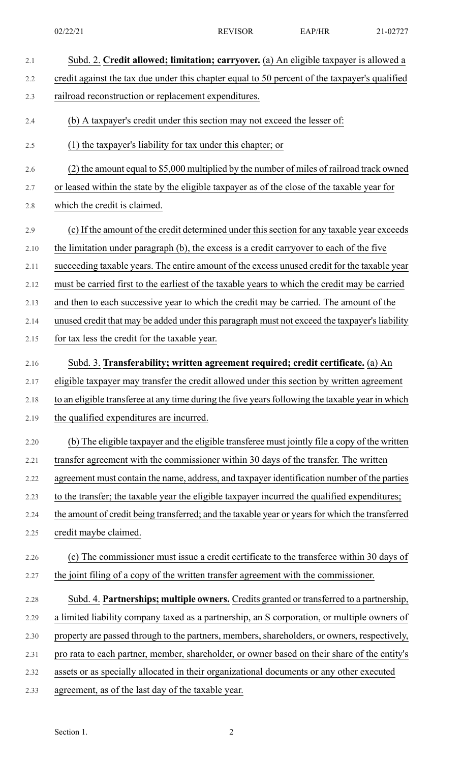| 2.1  | Subd. 2. Credit allowed; limitation; carryover. (a) An eligible taxpayer is allowed a           |
|------|-------------------------------------------------------------------------------------------------|
| 2.2  | credit against the tax due under this chapter equal to 50 percent of the taxpayer's qualified   |
| 2.3  | railroad reconstruction or replacement expenditures.                                            |
| 2.4  | (b) A taxpayer's credit under this section may not exceed the lesser of:                        |
| 2.5  | (1) the taxpayer's liability for tax under this chapter; or                                     |
| 2.6  | (2) the amount equal to \$5,000 multiplied by the number of miles of railroad track owned       |
| 2.7  | or leased within the state by the eligible taxpayer as of the close of the taxable year for     |
| 2.8  | which the credit is claimed.                                                                    |
| 2.9  | (c) If the amount of the credit determined under this section for any taxable year exceeds      |
| 2.10 | the limitation under paragraph (b), the excess is a credit carryover to each of the five        |
| 2.11 | succeeding taxable years. The entire amount of the excess unused credit for the taxable year    |
| 2.12 | must be carried first to the earliest of the taxable years to which the credit may be carried   |
| 2.13 | and then to each successive year to which the credit may be carried. The amount of the          |
| 2.14 | unused credit that may be added under this paragraph must not exceed the taxpayer's liability   |
| 2.15 | for tax less the credit for the taxable year.                                                   |
| 2.16 | Subd. 3. Transferability; written agreement required; credit certificate. (a) An                |
| 2.17 | eligible taxpayer may transfer the credit allowed under this section by written agreement       |
| 2.18 | to an eligible transferee at any time during the five years following the taxable year in which |
| 2.19 | the qualified expenditures are incurred.                                                        |
| 2.20 | (b) The eligible taxpayer and the eligible transferee must jointly file a copy of the written   |
| 2.21 | transfer agreement with the commissioner within 30 days of the transfer. The written            |
| 2.22 | agreement must contain the name, address, and taxpayer identification number of the parties     |
| 2.23 | to the transfer; the taxable year the eligible taxpayer incurred the qualified expenditures;    |
| 2.24 | the amount of credit being transferred; and the taxable year or years for which the transferred |
| 2.25 | credit maybe claimed.                                                                           |
| 2.26 | (c) The commissioner must issue a credit certificate to the transferee within 30 days of        |
| 2.27 | the joint filing of a copy of the written transfer agreement with the commissioner.             |
| 2.28 | Subd. 4. Partnerships; multiple owners. Credits granted or transferred to a partnership,        |
| 2.29 | a limited liability company taxed as a partnership, an S corporation, or multiple owners of     |
| 2.30 | property are passed through to the partners, members, shareholders, or owners, respectively,    |
| 2.31 | pro rata to each partner, member, shareholder, or owner based on their share of the entity's    |
| 2.32 | assets or as specially allocated in their organizational documents or any other executed        |
| 2.33 | agreement, as of the last day of the taxable year.                                              |